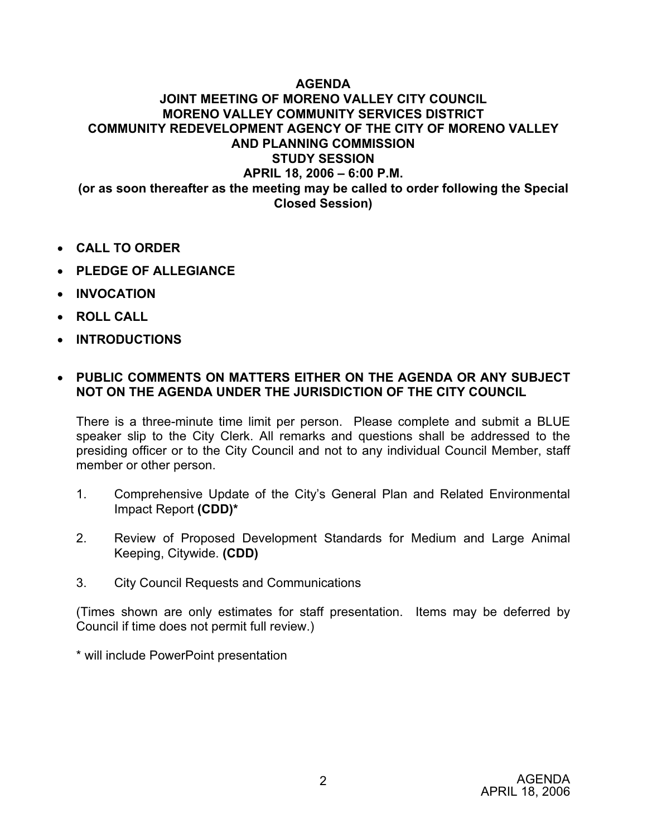## **AGENDA JOINT MEETING OF MORENO VALLEY CITY COUNCIL MORENO VALLEY COMMUNITY SERVICES DISTRICT COMMUNITY REDEVELOPMENT AGENCY OF THE CITY OF MORENO VALLEY AND PLANNING COMMISSION STUDY SESSION APRIL 18, 2006 – 6:00 P.M. (or as soon thereafter as the meeting may be called to order following the Special Closed Session)**

- x **CALL TO ORDER**
- x **PLEDGE OF ALLEGIANCE**
- **INVOCATION**
- **ROLL CALL**
- x **INTRODUCTIONS**

## x **PUBLIC COMMENTS ON MATTERS EITHER ON THE AGENDA OR ANY SUBJECT NOT ON THE AGENDA UNDER THE JURISDICTION OF THE CITY COUNCIL**

There is a three-minute time limit per person. Please complete and submit a BLUE speaker slip to the City Clerk. All remarks and questions shall be addressed to the presiding officer or to the City Council and not to any individual Council Member, staff member or other person.

- 1. Comprehensive Update of the City's General Plan and Related Environmental Impact Report **(CDD)\***
- 2. Review of Proposed Development Standards for Medium and Large Animal Keeping, Citywide. **(CDD)**
- 3. City Council Requests and Communications

(Times shown are only estimates for staff presentation. Items may be deferred by Council if time does not permit full review.)

\* will include PowerPoint presentation